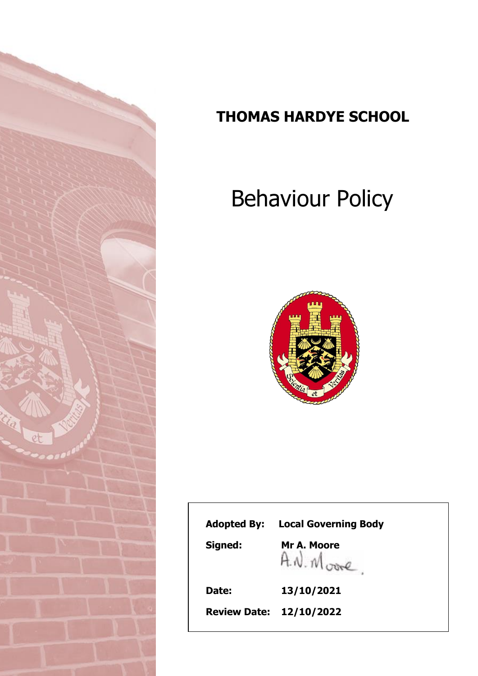

# **THOMAS HARDYE SCHOOL**

# Behaviour Policy



| <b>Adopted By:</b> | <b>Local Governing Body</b>      |
|--------------------|----------------------------------|
| Signed:            | Mr A. Moore<br>$A \sim M_{core}$ |
| Date:              | 13/10/2021                       |
|                    | <b>Review Date: 12/10/2022</b>   |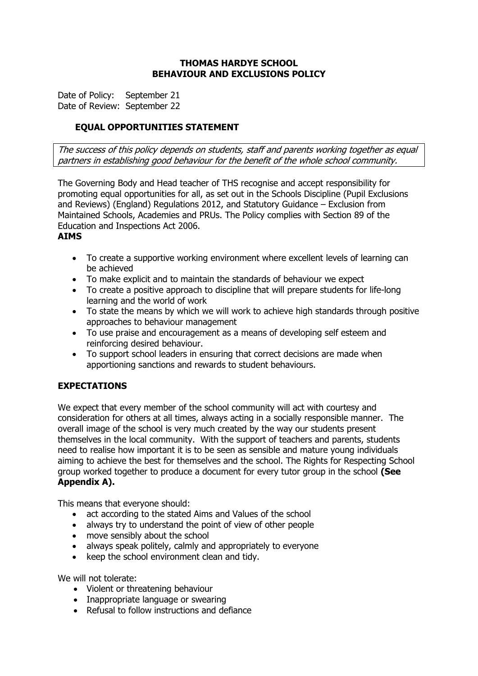#### **THOMAS HARDYE SCHOOL BEHAVIOUR AND EXCLUSIONS POLICY**

Date of Policy: September 21 Date of Review: September 22

# **EQUAL OPPORTUNITIES STATEMENT**

The success of this policy depends on students, staff and parents working together as equal partners in establishing good behaviour for the benefit of the whole school community.

The Governing Body and Head teacher of THS recognise and accept responsibility for promoting equal opportunities for all, as set out in the Schools Discipline (Pupil Exclusions and Reviews) (England) Regulations 2012, and Statutory Guidance – Exclusion from Maintained Schools, Academies and PRUs. The Policy complies with Section 89 of the Education and Inspections Act 2006.

#### **AIMS**

- To create a supportive working environment where excellent levels of learning can be achieved
- To make explicit and to maintain the standards of behaviour we expect
- To create a positive approach to discipline that will prepare students for life-long learning and the world of work
- To state the means by which we will work to achieve high standards through positive approaches to behaviour management
- To use praise and encouragement as a means of developing self esteem and reinforcing desired behaviour.
- To support school leaders in ensuring that correct decisions are made when apportioning sanctions and rewards to student behaviours.

# **EXPECTATIONS**

We expect that every member of the school community will act with courtesy and consideration for others at all times, always acting in a socially responsible manner. The overall image of the school is very much created by the way our students present themselves in the local community. With the support of teachers and parents, students need to realise how important it is to be seen as sensible and mature young individuals aiming to achieve the best for themselves and the school. The Rights for Respecting School group worked together to produce a document for every tutor group in the school **(See Appendix A).**

This means that everyone should:

- act according to the stated Aims and Values of the school
- always try to understand the point of view of other people
- move sensibly about the school
- always speak politely, calmly and appropriately to everyone
- keep the school environment clean and tidy.

We will not tolerate:

- Violent or threatening behaviour
- Inappropriate language or swearing
- Refusal to follow instructions and defiance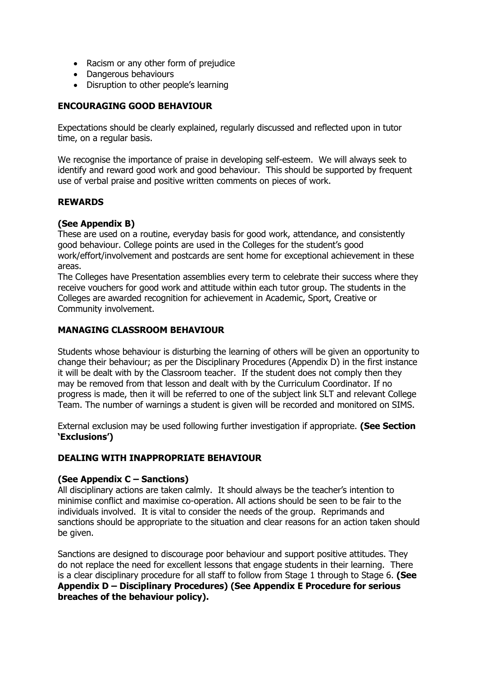- Racism or any other form of prejudice
- Dangerous behaviours
- Disruption to other people's learning

## **ENCOURAGING GOOD BEHAVIOUR**

Expectations should be clearly explained, regularly discussed and reflected upon in tutor time, on a regular basis.

We recognise the importance of praise in developing self-esteem. We will always seek to identify and reward good work and good behaviour. This should be supported by frequent use of verbal praise and positive written comments on pieces of work.

#### **REWARDS**

#### **(See Appendix B)**

These are used on a routine, everyday basis for good work, attendance, and consistently good behaviour. College points are used in the Colleges for the student's good work/effort/involvement and postcards are sent home for exceptional achievement in these areas.

The Colleges have Presentation assemblies every term to celebrate their success where they receive vouchers for good work and attitude within each tutor group. The students in the Colleges are awarded recognition for achievement in Academic, Sport, Creative or Community involvement.

#### **MANAGING CLASSROOM BEHAVIOUR**

Students whose behaviour is disturbing the learning of others will be given an opportunity to change their behaviour; as per the Disciplinary Procedures (Appendix D) in the first instance it will be dealt with by the Classroom teacher. If the student does not comply then they may be removed from that lesson and dealt with by the Curriculum Coordinator. If no progress is made, then it will be referred to one of the subject link SLT and relevant College Team. The number of warnings a student is given will be recorded and monitored on SIMS.

External exclusion may be used following further investigation if appropriate. **(See Section 'Exclusions')**

# **DEALING WITH INAPPROPRIATE BEHAVIOUR**

#### **(See Appendix C – Sanctions)**

All disciplinary actions are taken calmly. It should always be the teacher's intention to minimise conflict and maximise co-operation. All actions should be seen to be fair to the individuals involved. It is vital to consider the needs of the group. Reprimands and sanctions should be appropriate to the situation and clear reasons for an action taken should be given.

Sanctions are designed to discourage poor behaviour and support positive attitudes. They do not replace the need for excellent lessons that engage students in their learning. There is a clear disciplinary procedure for all staff to follow from Stage 1 through to Stage 6. **(See Appendix D – Disciplinary Procedures) (See Appendix E Procedure for serious breaches of the behaviour policy).**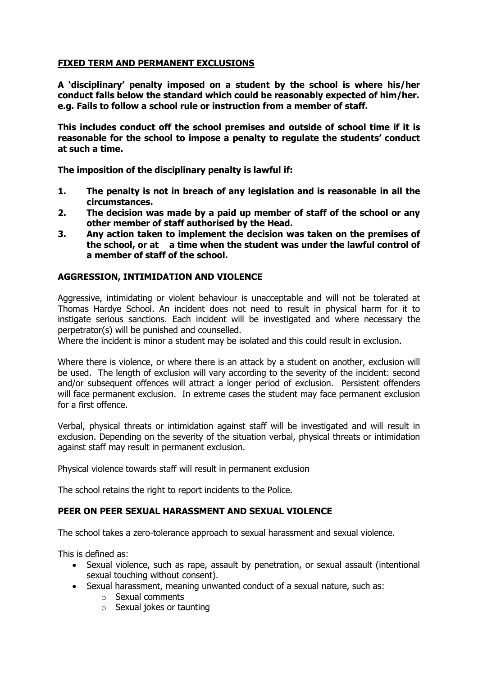# **FIXED TERM AND PERMANENT EXCLUSIONS**

**A 'disciplinary' penalty imposed on a student by the school is where his/her conduct falls below the standard which could be reasonably expected of him/her. e.g. Fails to follow a school rule or instruction from a member of staff.**

**This includes conduct off the school premises and outside of school time if it is reasonable for the school to impose a penalty to regulate the students' conduct at such a time.**

**The imposition of the disciplinary penalty is lawful if:**

- **1. The penalty is not in breach of any legislation and is reasonable in all the circumstances.**
- **2. The decision was made by a paid up member of staff of the school or any other member of staff authorised by the Head.**
- **3. Any action taken to implement the decision was taken on the premises of the school, or at a time when the student was under the lawful control of a member of staff of the school.**

# **AGGRESSION, INTIMIDATION AND VIOLENCE**

Aggressive, intimidating or violent behaviour is unacceptable and will not be tolerated at Thomas Hardye School. An incident does not need to result in physical harm for it to instigate serious sanctions. Each incident will be investigated and where necessary the perpetrator(s) will be punished and counselled.

Where the incident is minor a student may be isolated and this could result in exclusion.

Where there is violence, or where there is an attack by a student on another, exclusion will be used. The length of exclusion will vary according to the severity of the incident: second and/or subsequent offences will attract a longer period of exclusion. Persistent offenders will face permanent exclusion. In extreme cases the student may face permanent exclusion for a first offence.

Verbal, physical threats or intimidation against staff will be investigated and will result in exclusion. Depending on the severity of the situation verbal, physical threats or intimidation against staff may result in permanent exclusion.

Physical violence towards staff will result in permanent exclusion

The school retains the right to report incidents to the Police.

# **PEER ON PEER SEXUAL HARASSMENT AND SEXUAL VIOLENCE**

The school takes a zero-tolerance approach to sexual harassment and sexual violence.

This is defined as:

- Sexual violence, such as rape, assault by penetration, or sexual assault (intentional sexual touching without consent).
- Sexual harassment, meaning unwanted conduct of a sexual nature, such as:
	- o Sexual comments
	- o Sexual jokes or taunting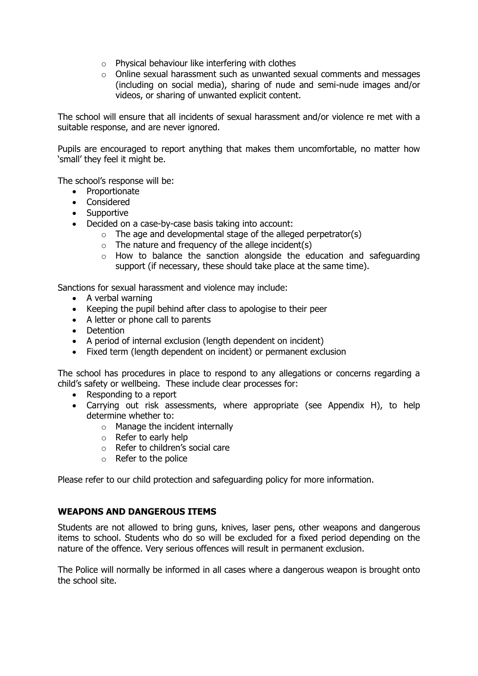- $\circ$  Physical behaviour like interfering with clothes
- $\circ$  Online sexual harassment such as unwanted sexual comments and messages (including on social media), sharing of nude and semi-nude images and/or videos, or sharing of unwanted explicit content.

The school will ensure that all incidents of sexual harassment and/or violence re met with a suitable response, and are never ignored.

Pupils are encouraged to report anything that makes them uncomfortable, no matter how 'small' they feel it might be.

The school's response will be:

- Proportionate
- Considered
- Supportive
- Decided on a case-by-case basis taking into account:
	- $\circ$  The age and developmental stage of the alleged perpetrator(s)
	- $\circ$  The nature and frequency of the allege incident(s)
	- $\circ$  How to balance the sanction alongside the education and safeguarding support (if necessary, these should take place at the same time).

Sanctions for sexual harassment and violence may include:

- A verbal warning
- Keeping the pupil behind after class to apologise to their peer
- A letter or phone call to parents
- Detention
- A period of internal exclusion (length dependent on incident)
- Fixed term (length dependent on incident) or permanent exclusion

The school has procedures in place to respond to any allegations or concerns regarding a child's safety or wellbeing. These include clear processes for:

- Responding to a report
- Carrying out risk assessments, where appropriate (see Appendix H), to help determine whether to:
	- o Manage the incident internally
	- o Refer to early help
	- o Refer to children's social care
	- o Refer to the police

Please refer to our child protection and safeguarding policy for more information.

#### **WEAPONS AND DANGEROUS ITEMS**

Students are not allowed to bring guns, knives, laser pens, other weapons and dangerous items to school. Students who do so will be excluded for a fixed period depending on the nature of the offence. Very serious offences will result in permanent exclusion.

The Police will normally be informed in all cases where a dangerous weapon is brought onto the school site.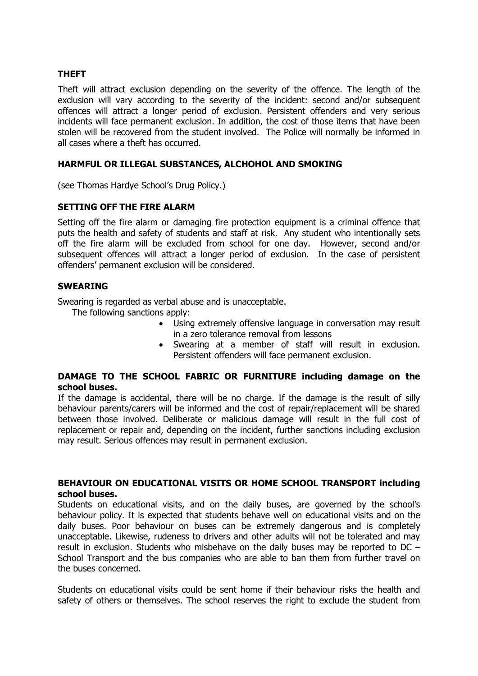#### **THEFT**

Theft will attract exclusion depending on the severity of the offence. The length of the exclusion will vary according to the severity of the incident: second and/or subsequent offences will attract a longer period of exclusion. Persistent offenders and very serious incidents will face permanent exclusion. In addition, the cost of those items that have been stolen will be recovered from the student involved. The Police will normally be informed in all cases where a theft has occurred.

### **HARMFUL OR ILLEGAL SUBSTANCES, ALCHOHOL AND SMOKING**

(see Thomas Hardye School's Drug Policy.)

#### **SETTING OFF THE FIRE ALARM**

Setting off the fire alarm or damaging fire protection equipment is a criminal offence that puts the health and safety of students and staff at risk. Any student who intentionally sets off the fire alarm will be excluded from school for one day. However, second and/or subsequent offences will attract a longer period of exclusion. In the case of persistent offenders' permanent exclusion will be considered.

#### **SWEARING**

Swearing is regarded as verbal abuse and is unacceptable.

The following sanctions apply:

- Using extremely offensive language in conversation may result in a zero tolerance removal from lessons
- Swearing at a member of staff will result in exclusion. Persistent offenders will face permanent exclusion.

#### **DAMAGE TO THE SCHOOL FABRIC OR FURNITURE including damage on the school buses.**

If the damage is accidental, there will be no charge. If the damage is the result of silly behaviour parents/carers will be informed and the cost of repair/replacement will be shared between those involved. Deliberate or malicious damage will result in the full cost of replacement or repair and, depending on the incident, further sanctions including exclusion may result. Serious offences may result in permanent exclusion.

#### **BEHAVIOUR ON EDUCATIONAL VISITS OR HOME SCHOOL TRANSPORT including school buses.**

Students on educational visits, and on the daily buses, are governed by the school's behaviour policy. It is expected that students behave well on educational visits and on the daily buses. Poor behaviour on buses can be extremely dangerous and is completely unacceptable. Likewise, rudeness to drivers and other adults will not be tolerated and may result in exclusion. Students who misbehave on the daily buses may be reported to DC – School Transport and the bus companies who are able to ban them from further travel on the buses concerned.

Students on educational visits could be sent home if their behaviour risks the health and safety of others or themselves. The school reserves the right to exclude the student from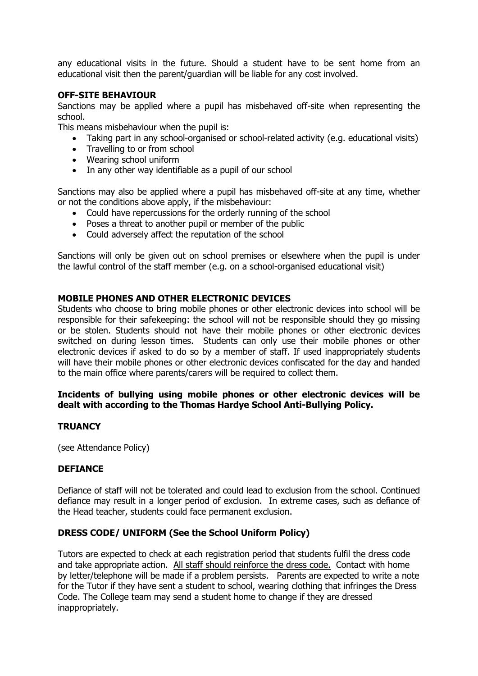any educational visits in the future. Should a student have to be sent home from an educational visit then the parent/guardian will be liable for any cost involved.

#### **OFF-SITE BEHAVIOUR**

Sanctions may be applied where a pupil has misbehaved off-site when representing the school.

This means misbehaviour when the pupil is:

- Taking part in any school-organised or school-related activity (e.g. educational visits)
- Travelling to or from school
- Wearing school uniform
- In any other way identifiable as a pupil of our school

Sanctions may also be applied where a pupil has misbehaved off-site at any time, whether or not the conditions above apply, if the misbehaviour:

- Could have repercussions for the orderly running of the school
- Poses a threat to another pupil or member of the public
- Could adversely affect the reputation of the school

Sanctions will only be given out on school premises or elsewhere when the pupil is under the lawful control of the staff member (e.g. on a school-organised educational visit)

#### **MOBILE PHONES AND OTHER ELECTRONIC DEVICES**

Students who choose to bring mobile phones or other electronic devices into school will be responsible for their safekeeping: the school will not be responsible should they go missing or be stolen. Students should not have their mobile phones or other electronic devices switched on during lesson times. Students can only use their mobile phones or other electronic devices if asked to do so by a member of staff. If used inappropriately students will have their mobile phones or other electronic devices confiscated for the day and handed to the main office where parents/carers will be required to collect them.

#### **Incidents of bullying using mobile phones or other electronic devices will be dealt with according to the Thomas Hardye School Anti-Bullying Policy.**

#### **TRUANCY**

(see Attendance Policy)

#### **DEFIANCE**

Defiance of staff will not be tolerated and could lead to exclusion from the school. Continued defiance may result in a longer period of exclusion. In extreme cases, such as defiance of the Head teacher, students could face permanent exclusion.

#### **DRESS CODE/ UNIFORM (See the School Uniform Policy)**

Tutors are expected to check at each registration period that students fulfil the dress code and take appropriate action. All staff should reinforce the dress code. Contact with home by letter/telephone will be made if a problem persists. Parents are expected to write a note for the Tutor if they have sent a student to school, wearing clothing that infringes the Dress Code. The College team may send a student home to change if they are dressed inappropriately.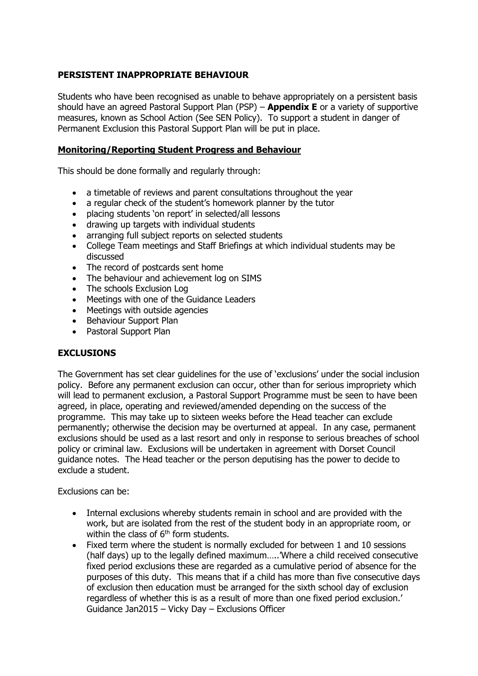# **PERSISTENT INAPPROPRIATE BEHAVIOUR**

Students who have been recognised as unable to behave appropriately on a persistent basis should have an agreed Pastoral Support Plan (PSP) – **Appendix E** or a variety of supportive measures, known as School Action (See SEN Policy). To support a student in danger of Permanent Exclusion this Pastoral Support Plan will be put in place.

# **Monitoring/Reporting Student Progress and Behaviour**

This should be done formally and regularly through:

- a timetable of reviews and parent consultations throughout the year
- a regular check of the student's homework planner by the tutor
- placing students 'on report' in selected/all lessons
- drawing up targets with individual students
- arranging full subject reports on selected students
- College Team meetings and Staff Briefings at which individual students may be discussed
- The record of postcards sent home
- The behaviour and achievement log on SIMS
- The schools Exclusion Log
- Meetings with one of the Guidance Leaders
- Meetings with outside agencies
- Behaviour Support Plan
- Pastoral Support Plan

# **EXCLUSIONS**

The Government has set clear guidelines for the use of 'exclusions' under the social inclusion policy. Before any permanent exclusion can occur, other than for serious impropriety which will lead to permanent exclusion, a Pastoral Support Programme must be seen to have been agreed, in place, operating and reviewed/amended depending on the success of the programme. This may take up to sixteen weeks before the Head teacher can exclude permanently; otherwise the decision may be overturned at appeal. In any case, permanent exclusions should be used as a last resort and only in response to serious breaches of school policy or criminal law. Exclusions will be undertaken in agreement with Dorset Council guidance notes. The Head teacher or the person deputising has the power to decide to exclude a student.

Exclusions can be:

- Internal exclusions whereby students remain in school and are provided with the work, but are isolated from the rest of the student body in an appropriate room, or within the class of  $6<sup>th</sup>$  form students.
- Fixed term where the student is normally excluded for between 1 and 10 sessions (half days) up to the legally defined maximum…..'Where a child received consecutive fixed period exclusions these are regarded as a cumulative period of absence for the purposes of this duty. This means that if a child has more than five consecutive days of exclusion then education must be arranged for the sixth school day of exclusion regardless of whether this is as a result of more than one fixed period exclusion.' Guidance Jan2015 – Vicky Day – Exclusions Officer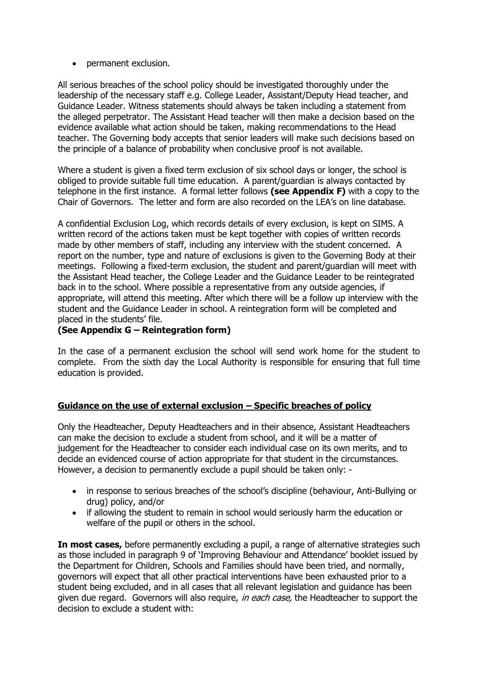• permanent exclusion.

All serious breaches of the school policy should be investigated thoroughly under the leadership of the necessary staff e.g. College Leader, Assistant/Deputy Head teacher, and Guidance Leader. Witness statements should always be taken including a statement from the alleged perpetrator. The Assistant Head teacher will then make a decision based on the evidence available what action should be taken, making recommendations to the Head teacher. The Governing body accepts that senior leaders will make such decisions based on the principle of a balance of probability when conclusive proof is not available.

Where a student is given a fixed term exclusion of six school days or longer, the school is obliged to provide suitable full time education. A parent/guardian is always contacted by telephone in the first instance. A formal letter follows **(see Appendix F)** with a copy to the Chair of Governors. The letter and form are also recorded on the LEA's on line database.

A confidential Exclusion Log, which records details of every exclusion, is kept on SIMS. A written record of the actions taken must be kept together with copies of written records made by other members of staff, including any interview with the student concerned. A report on the number, type and nature of exclusions is given to the Governing Body at their meetings. Following a fixed-term exclusion, the student and parent/guardian will meet with the Assistant Head teacher, the College Leader and the Guidance Leader to be reintegrated back in to the school. Where possible a representative from any outside agencies, if appropriate, will attend this meeting. After which there will be a follow up interview with the student and the Guidance Leader in school. A reintegration form will be completed and placed in the students' file.

# **(See Appendix G – Reintegration form)**

In the case of a permanent exclusion the school will send work home for the student to complete. From the sixth day the Local Authority is responsible for ensuring that full time education is provided.

# **Guidance on the use of external exclusion – Specific breaches of policy**

Only the Headteacher, Deputy Headteachers and in their absence, Assistant Headteachers can make the decision to exclude a student from school, and it will be a matter of judgement for the Headteacher to consider each individual case on its own merits, and to decide an evidenced course of action appropriate for that student in the circumstances. However, a decision to permanently exclude a pupil should be taken only: -

- in response to serious breaches of the school's discipline (behaviour, Anti-Bullying or drug) policy, and/or
- if allowing the student to remain in school would seriously harm the education or welfare of the pupil or others in the school.

**In most cases,** before permanently excluding a pupil, a range of alternative strategies such as those included in paragraph 9 of 'Improving Behaviour and Attendance' booklet issued by the Department for Children, Schools and Families should have been tried, and normally, governors will expect that all other practical interventions have been exhausted prior to a student being excluded, and in all cases that all relevant legislation and guidance has been given due regard. Governors will also require, in each case, the Headteacher to support the decision to exclude a student with: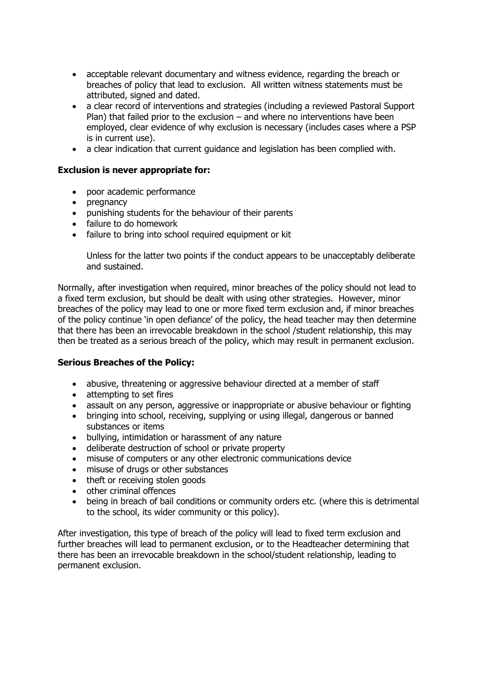- acceptable relevant documentary and witness evidence, regarding the breach or breaches of policy that lead to exclusion. All written witness statements must be attributed, signed and dated.
- a clear record of interventions and strategies (including a reviewed Pastoral Support Plan) that failed prior to the exclusion – and where no interventions have been employed, clear evidence of why exclusion is necessary (includes cases where a PSP is in current use).
- a clear indication that current guidance and legislation has been complied with.

#### **Exclusion is never appropriate for:**

- poor academic performance
- pregnancy
- punishing students for the behaviour of their parents
- failure to do homework
- failure to bring into school required equipment or kit

Unless for the latter two points if the conduct appears to be unacceptably deliberate and sustained.

Normally, after investigation when required, minor breaches of the policy should not lead to a fixed term exclusion, but should be dealt with using other strategies. However, minor breaches of the policy may lead to one or more fixed term exclusion and, if minor breaches of the policy continue 'in open defiance' of the policy, the head teacher may then determine that there has been an irrevocable breakdown in the school /student relationship, this may then be treated as a serious breach of the policy, which may result in permanent exclusion.

#### **Serious Breaches of the Policy:**

- abusive, threatening or aggressive behaviour directed at a member of staff
- attempting to set fires
- assault on any person, aggressive or inappropriate or abusive behaviour or fighting
- bringing into school, receiving, supplying or using illegal, dangerous or banned substances or items
- bullying, intimidation or harassment of any nature
- deliberate destruction of school or private property
- misuse of computers or any other electronic communications device
- misuse of drugs or other substances
- theft or receiving stolen goods
- other criminal offences
- being in breach of bail conditions or community orders etc. (where this is detrimental to the school, its wider community or this policy).

After investigation, this type of breach of the policy will lead to fixed term exclusion and further breaches will lead to permanent exclusion, or to the Headteacher determining that there has been an irrevocable breakdown in the school/student relationship, leading to permanent exclusion.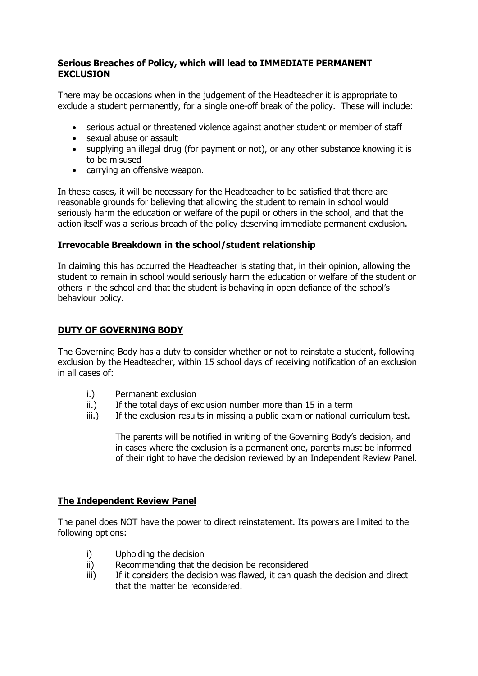### **Serious Breaches of Policy, which will lead to IMMEDIATE PERMANENT EXCLUSION**

There may be occasions when in the judgement of the Headteacher it is appropriate to exclude a student permanently, for a single one-off break of the policy. These will include:

- serious actual or threatened violence against another student or member of staff
- sexual abuse or assault
- supplying an illegal drug (for payment or not), or any other substance knowing it is to be misused
- carrying an offensive weapon.

In these cases, it will be necessary for the Headteacher to be satisfied that there are reasonable grounds for believing that allowing the student to remain in school would seriously harm the education or welfare of the pupil or others in the school, and that the action itself was a serious breach of the policy deserving immediate permanent exclusion.

# **Irrevocable Breakdown in the school/student relationship**

In claiming this has occurred the Headteacher is stating that, in their opinion, allowing the student to remain in school would seriously harm the education or welfare of the student or others in the school and that the student is behaving in open defiance of the school's behaviour policy.

# **DUTY OF GOVERNING BODY**

The Governing Body has a duty to consider whether or not to reinstate a student, following exclusion by the Headteacher, within 15 school days of receiving notification of an exclusion in all cases of:

- i.) Permanent exclusion
- ii.) If the total days of exclusion number more than 15 in a term
- iii.) If the exclusion results in missing a public exam or national curriculum test.

The parents will be notified in writing of the Governing Body's decision, and in cases where the exclusion is a permanent one, parents must be informed of their right to have the decision reviewed by an Independent Review Panel.

# **The Independent Review Panel**

The panel does NOT have the power to direct reinstatement. Its powers are limited to the following options:

- i) Upholding the decision
- ii) Recommending that the decision be reconsidered
- iii) If it considers the decision was flawed, it can quash the decision and direct that the matter be reconsidered.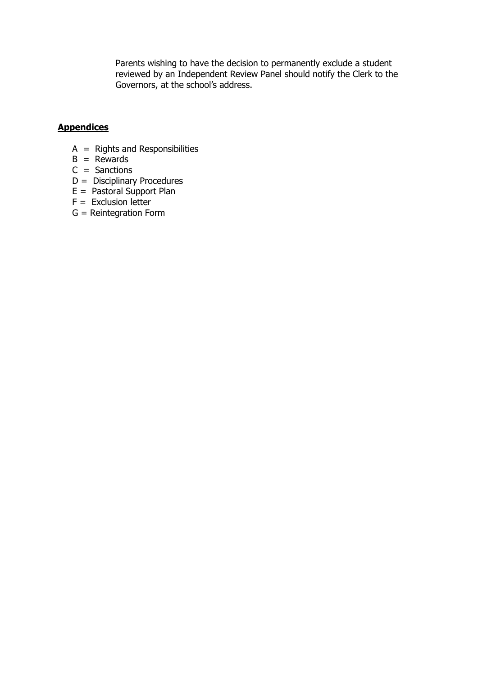Parents wishing to have the decision to permanently exclude a student reviewed by an Independent Review Panel should notify the Clerk to the Governors, at the school's address.

#### **Appendices**

- $A =$  Rights and Responsibilities
- $B =$  Rewards
- $C =$  Sanctions
- D = Disciplinary Procedures
- E = Pastoral Support Plan
- $F =$  Exclusion letter
- G = Reintegration Form